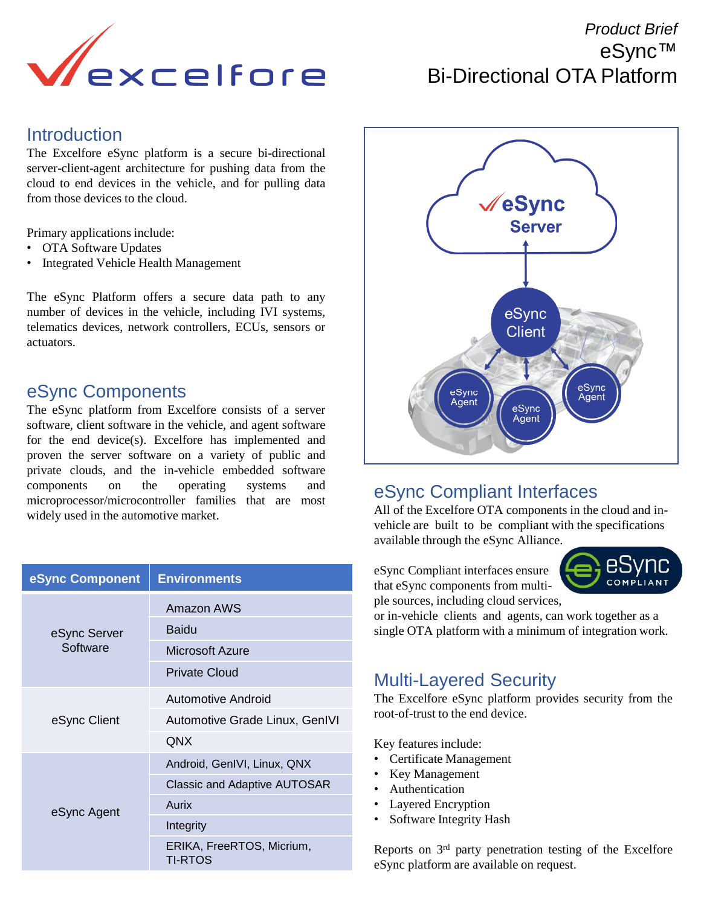

# *Product Brief*  eSync™ Bi-Directional OTA Platform

#### **Introduction**

The Excelfore eSync platform is a secure bi-directional server-client-agent architecture for pushing data from the cloud to end devices in the vehicle, and for pulling data from those devices to the cloud.

Primary applications include:

- OTA Software Updates
- Integrated Vehicle Health Management

The eSync Platform offers a secure data path to any number of devices in the vehicle, including IVI systems, telematics devices, network controllers, ECUs, sensors or actuators.

#### eSync Components

The eSync platform from Excelfore consists of a server software, client software in the vehicle, and agent software for the end device(s). Excelfore has implemented and proven the server software on a variety of public and private clouds, and the in-vehicle embedded software components on the operating systems and microprocessor/microcontroller families that are most widely used in the automotive market.

| eSync Component          | <b>Environments</b>                         |
|--------------------------|---------------------------------------------|
| eSync Server<br>Software | Amazon AWS                                  |
|                          | Baidu                                       |
|                          | <b>Microsoft Azure</b>                      |
|                          | <b>Private Cloud</b>                        |
| eSync Client             | Automotive Android                          |
|                          | Automotive Grade Linux, GenIVI              |
|                          | <b>QNX</b>                                  |
| eSync Agent              | Android, GenIVI, Linux, QNX                 |
|                          | <b>Classic and Adaptive AUTOSAR</b>         |
|                          | Aurix                                       |
|                          | Integrity                                   |
|                          | ERIKA, FreeRTOS, Micrium,<br><b>TI-RTOS</b> |



### eSync Compliant Interfaces

All of the Excelfore OTA components in the cloud and invehicle are built to be compliant with the specifications available through the eSync Alliance.

eSync Compliant interfaces ensure that eSync components from multiple sources, including cloud services,



or in-vehicle clients and agents, can work together as a single OTA platform with a minimum of integration work.

### Multi-Layered Security

The Excelfore eSync platform provides security from the root-of-trust to the end device.

Key features include:

- Certificate Management
- Key Management
- Authentication
- Layered Encryption
- Software Integrity Hash

Reports on 3<sup>rd</sup> party penetration testing of the Excelfore eSync platform are available on request.